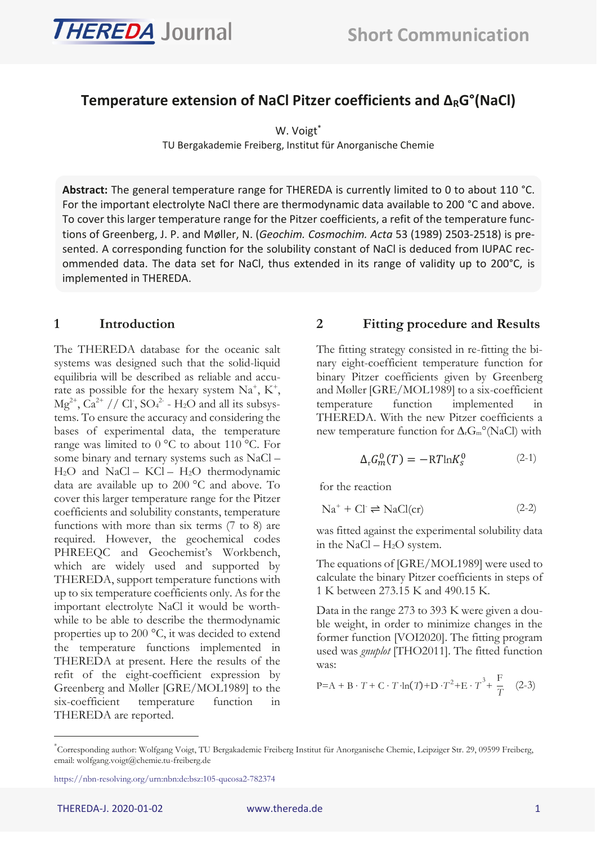

# Temperature extension of NaCl Pitzer coefficients and ∆<sub>R</sub>G°(NaCl)

W. Voigt<sup>\*</sup>

TU Bergakademie Freiberg, Institut für Anorganische Chemie

**Abstract:** The general temperature range for THEREDA is currently limited to 0 to about 110 °C. For the important electrolyte NaCl there are thermodynamic data available to 200 °C and above. To cover this larger temperature range for the Pitzer coefficients, a refit of the temperature functions of Greenberg, J. P. and Møller, N. (*Geochim. Cosmochim. Acta* 53 (1989) 2503-2518) is presented. A corresponding function for the solubility constant of NaCl is deduced from IUPAC recommended data. The data set for NaCl, thus extended in its range of validity up to 200°C, is implemented in THEREDA.

### **1 Introduction**

The THEREDA database for the oceanic salt systems was designed such that the solid-liquid equilibria will be described as reliable and accurate as possible for the hexary system  $Na^+$ ,  $K^+$ ,  $Mg^{2+}$ ,  $Ca^{2+}$  // Cl<sup>-</sup>,  $SO_4^2$  - H<sub>2</sub>O and all its subsystems. To ensure the accuracy and considering the bases of experimental data, the temperature range was limited to 0 °C to about 110 °C. For some binary and ternary systems such as NaCl – H<sub>2</sub>O and NaCl – KCl – H<sub>2</sub>O thermodynamic data are available up to 200 °C and above. To cover this larger temperature range for the Pitzer coefficients and solubility constants, temperature functions with more than six terms (7 to 8) are required. However, the geochemical codes PHREEQC and Geochemist's Workbench, which are widely used and supported by THEREDA, support temperature functions with up to six temperature coefficients only. As for the important electrolyte NaCl it would be worthwhile to be able to describe the thermodynamic properties up to 200 °C, it was decided to extend the temperature functions implemented in THEREDA at present. Here the results of the refit of the eight-coefficient expression by Greenberg and Møller [GRE/MOL1989] to the six-coefficient temperature function in THEREDA are reported.

# **2 Fitting procedure and Results**

The fitting strategy consisted in re-fitting the binary eight-coefficient temperature function for binary Pitzer coefficients given by Greenberg and Møller [GRE/MOL1989] to a six-coefficient temperature function implemented in THEREDA. With the new Pitzer coefficients a new temperature function for Δ<sub>r</sub>G<sub>m</sub>°(NaCl) with

<span id="page-0-1"></span>
$$
\Delta_{\rm r} G_m^0(T) = -{\rm RTln} K_s^0 \qquad \qquad (2-1)
$$

for the reaction

$$
Na^{+} + Cl \rightleftharpoons NaCl (cr) \tag{2-2}
$$

was fitted against the experimental solubility data in the NaCl –  $H_2O$  system.

The equations of [GRE/MOL1989] were used to calculate the binary Pitzer coefficients in steps of 1 K between 273.15 K and 490.15 K.

Data in the range 273 to 393 K were given a double weight, in order to minimize changes in the former function [VOI2020]. The fitting program used was *gnuplot* [THO2011]. The fitted function was:

<span id="page-0-0"></span>
$$
P = A + B \cdot T + C \cdot T \cdot ln(T) + D \cdot T^{2} + E \cdot T^{3} + \frac{F}{T}
$$
 (2-3)

<sup>\*</sup> Corresponding author: Wolfgang Voigt, TU Bergakademie Freiberg Institut für Anorganische Chemie, Leipziger Str. 29, 09599 Freiberg, email: wolfgang.voigt@chemie.tu-freiberg.de

<https://nbn-resolving.org/urn:nbn:de:bsz:105-qucosa2-782374>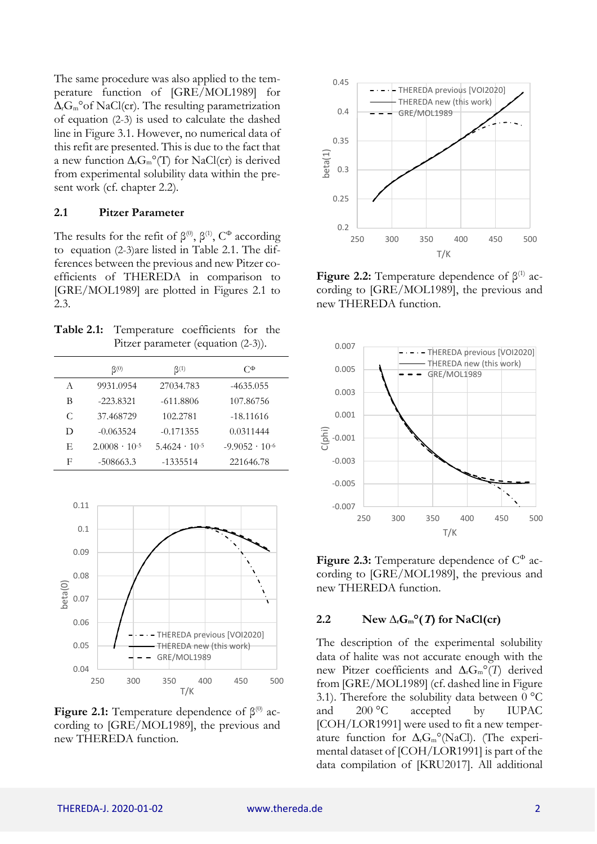The same procedure was also applied to the temperature function of [GRE/MOL1989] for  $\Delta_r G_m$ °of NaCl(cr). The resulting parametrization of equation [\(2-3\)](#page-0-0) is used to calculate the dashed line in [Figure 3.1.](#page-2-0) However, no numerical data of this refit are presented. This is due to the fact that a new function  $\Delta_r G_m^{\circ}$ <sup>o</sup>(T) for NaCl(cr) is derived from experimental solubility data within the present work (cf. chapter [2.2\)](#page-1-0).

#### **2.1 Pitzer Parameter**

The results for the refit of  $\beta^{(0)}$ ,  $\beta^{(1)}$ ,  $C^{\Phi}$  according to equation [\(2-3\)](#page-0-0)are listed in [Table 2.1.](#page-1-1) The differences between the previous and new Pitzer coefficients of THEREDA in comparison to [GRE/MOL1989] are plotted in Figures 2.1 to 2.3.

<span id="page-1-1"></span>**Table 2.1:** Temperature coefficients for the Pitzer parameter (equation [\(2-3\)](#page-0-0)).

|   | $\beta^{(0)}$          | $\beta^{(1)}$          | $C^{\Phi}$              |
|---|------------------------|------------------------|-------------------------|
| A | 9931.0954              | 27034.783              | $-4635.055$             |
| В | $-223.8321$            | $-611.8806$            | 107.86756               |
| C | 37.468729              | 102.2781               | $-18.11616$             |
| D | $-0.063524$            | $-0.171355$            | 0.0311444               |
| E | $2.0008 \cdot 10^{-5}$ | $5.4624 \cdot 10^{-5}$ | $-9.9052 \cdot 10^{-6}$ |
| F | $-508663.3$            | $-1335514$             | 221646.78               |



**Figure 2.1:** Temperature dependence of  $β^{(0)}$  according to [GRE/MOL1989], the previous and new THEREDA function.



**Figure 2.2:** Temperature dependence of  $\beta^{(1)}$  according to [GRE/MOL1989], the previous and new THEREDA function.



Figure 2.3: Temperature dependence of  $C^{\Phi}$  according to [GRE/MOL1989], the previous and new THEREDA function.

#### <span id="page-1-0"></span>**2.2 New**  $\Delta_{\rm r}$ **<b>G**<sub>m</sub><sup>o</sup>(*T*) for NaCl(cr)

The description of the experimental solubility data of halite was not accurate enough with the new Pitzer coefficients and ∆rGm°(*T*) derived from [GRE/MOL1989] (cf. dashed line i[n Figure](#page-2-0)  [3.1\)](#page-2-0). Therefore the solubility data between  $0^{\circ}$ C and 200 °C accepted by IUPAC [COH/LOR1991] were used to fit a new temperature function for  $\Delta_{r}G_{m}^{\circ}$  (NaCl). (The experimental dataset of [COH/LOR1991] is part of the data compilation of [KRU2017]. All additional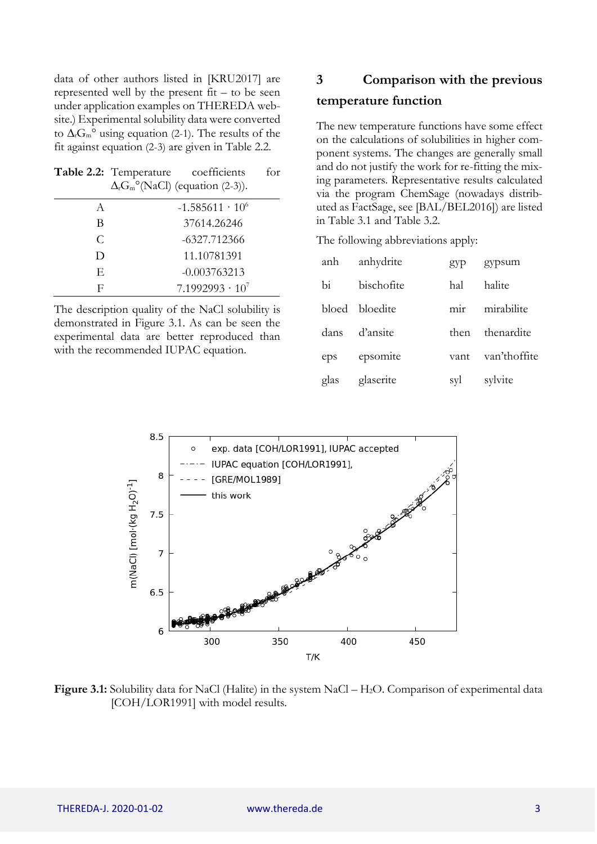data of other authors listed in [KRU2017] are represented well by the present  $fit - to be seen$ under application examples on THEREDA website.) Experimental solubility data were converted to  $\Delta_{r}G_{m}^{\circ}$  using equation [\(2-1\)](#page-0-1). The results of the fit against equation [\(2-3\)](#page-0-0) are given in Table 2.2.

|   | <b>Table 2.2:</b> Temperature coefficients<br>$\Delta_{r}G_{m}^{\circ}$ (NaCl) (equation (2-3)). | for |
|---|--------------------------------------------------------------------------------------------------|-----|
| A | $-1.585611 \cdot 10^{6}$                                                                         |     |
| В | 37614.26246                                                                                      |     |
| C | -6327.712366                                                                                     |     |
| Ð | 11.10781391                                                                                      |     |
| E | $-0.003763213$                                                                                   |     |
| F | $7.1992993 \cdot 10^{7}$                                                                         |     |

The description quality of the NaCl solubility is demonstrated in [Figure 3.1.](#page-2-0) As can be seen the experimental data are better reproduced than with the recommended IUPAC equation.

## **3 Comparison with the previous**

#### **temperature function**

The new temperature functions have some effect on the calculations of solubilities in higher component systems. The changes are generally small and do not justify the work for re-fitting the mixing parameters. Representative results calculated via the program ChemSage (nowadays distributed as FactSage, see [BAL/BEL2016]) are listed in [Table 3.1](#page-3-0) and [Table 3.2.](#page-4-0)

The following abbreviations apply:

| anh           | anhydrite      | gyp              | gypsum       |
|---------------|----------------|------------------|--------------|
| $\mathbf{bi}$ | bischofite     | hal              | halite       |
|               | bloed bloedite | m <sub>1</sub> r | mirabilite   |
| dans          | d'ansite       | then             | thenardite   |
| eps           | epsomite       | vant             | van'thoffite |
| glas          | glaserite      | syl              | sylvite      |



<span id="page-2-0"></span>**Figure 3.1:** Solubility data for NaCl (Halite) in the system NaCl – H<sub>2</sub>O. Comparison of experimental data [COH/LOR1991] with model results.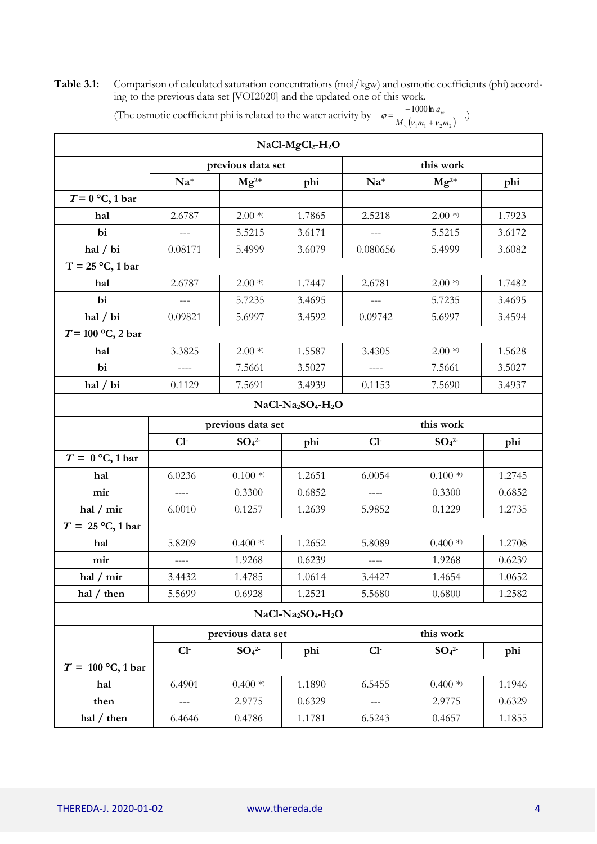<span id="page-3-0"></span>**Table 3.1:** Comparison of calculated saturation concentrations (mol/kgw) and osmotic coefficients (phi) according to the previous data set [VOI2020] and the updated one of this work.

| The osmotic coefficient phi is related to the water activity by $\varphi = \frac{w}{M_w(v_1 m_1 + v_2 m_2)}$ |  |
|--------------------------------------------------------------------------------------------------------------|--|
|                                                                                                              |  |

| $NaCl-MgCl2-H2O$    |                                |                              |                                                        |                |                              |        |  |  |  |
|---------------------|--------------------------------|------------------------------|--------------------------------------------------------|----------------|------------------------------|--------|--|--|--|
|                     | previous data set<br>this work |                              |                                                        |                |                              |        |  |  |  |
|                     | $Na+$                          | $Mg^{2+}$                    | phi                                                    | $Na+$          | $Mg^{2+}$                    | phi    |  |  |  |
| $T = 0$ °C, 1 bar   |                                |                              |                                                        |                |                              |        |  |  |  |
| hal                 | 2.6787                         | $2.00*$                      | 1.7865                                                 | 2.5218         | $2.00*$                      | 1.7923 |  |  |  |
| bi                  | $\frac{1}{2}$                  | 5.5215                       | 3.6171                                                 | $\overline{a}$ | 5.5215                       | 3.6172 |  |  |  |
| hal / bi            | 0.08171                        | 5.4999                       | 3.6079                                                 | 0.080656       | 5.4999                       | 3.6082 |  |  |  |
| $T = 25 °C$ , 1 bar |                                |                              |                                                        |                |                              |        |  |  |  |
| hal                 | 2.6787                         | $2.00*$                      | 1.7447                                                 | 2.6781         | $2.00*$                      | 1.7482 |  |  |  |
| bi                  |                                | 5.7235                       | 3.4695                                                 |                | 5.7235                       | 3.4695 |  |  |  |
| hal / bi            | 0.09821                        | 5.6997                       | 3.4592                                                 | 0.09742        | 5.6997                       | 3.4594 |  |  |  |
| $T = 100$ °C, 2 bar |                                |                              |                                                        |                |                              |        |  |  |  |
| hal                 | 3.3825                         | $2.00*$                      | 1.5587                                                 | 3.4305         | $2.00*$                      | 1.5628 |  |  |  |
| bi                  |                                | 7.5661                       | 3.5027                                                 |                | 7.5661                       | 3.5027 |  |  |  |
| hal / bi            | 0.1129                         | 7.5691                       | 3.4939                                                 | 0.1153         | 7.5690                       | 3.4937 |  |  |  |
|                     | $NaCl-Na2SO4-H2O$              |                              |                                                        |                |                              |        |  |  |  |
|                     |                                | previous data set            |                                                        | this work      |                              |        |  |  |  |
|                     | $Cl-$                          | SO <sub>4</sub> <sup>2</sup> | phi                                                    | $Cl-$          | SO <sub>4</sub> <sup>2</sup> | phi    |  |  |  |
| $T = 0$ °C, 1 bar   |                                |                              |                                                        |                |                              |        |  |  |  |
| hal                 | 6.0236                         | $0.100*$                     | 1.2651                                                 | 6.0054         | $0.100*$                     | 1.2745 |  |  |  |
| mir                 |                                | 0.3300                       | 0.6852                                                 |                | 0.3300                       | 0.6852 |  |  |  |
| hal $/$ mir         | 6.0010                         | 0.1257                       | 1.2639                                                 | 5.9852         | 0.1229                       | 1.2735 |  |  |  |
| $T = 25$ °C, 1 bar  |                                |                              |                                                        |                |                              |        |  |  |  |
| hal                 | 5.8209                         | $0.400*$                     | 1.2652                                                 | 5.8089         | $0.400*$                     | 1.2708 |  |  |  |
| mir                 |                                | 1.9268                       | 0.6239                                                 |                | 1.9268                       | 0.6239 |  |  |  |
| hal $/$ mir         | 3.4432                         | 1.4785                       | 1.0614                                                 | 3.4427         | 1.4654                       | 1.0652 |  |  |  |
| hal $/$ then        | 5.5699                         | 0.6928                       | 1.2521                                                 | 5.5680         | 0.6800                       | 1.2582 |  |  |  |
|                     |                                |                              | NaCl-Na <sub>2</sub> SO <sub>4</sub> -H <sub>2</sub> O |                |                              |        |  |  |  |
|                     | this work<br>previous data set |                              |                                                        |                |                              |        |  |  |  |
|                     | $Cl-$                          | SO <sub>4</sub> <sup>2</sup> | phi                                                    | $Cl-$          | SO <sub>4</sub> <sup>2</sup> | phi    |  |  |  |
| $T = 100$ °C, 1 bar |                                |                              |                                                        |                |                              |        |  |  |  |
| hal                 | 6.4901                         | $0.400*$                     | 1.1890                                                 | 6.5455         | $0.400*$                     | 1.1946 |  |  |  |
| then                |                                | 2.9775                       | 0.6329                                                 |                | 2.9775                       | 0.6329 |  |  |  |
| hal / then          | 6.4646                         | 0.4786                       | 1.1781                                                 | 6.5243         | 0.4657                       | 1.1855 |  |  |  |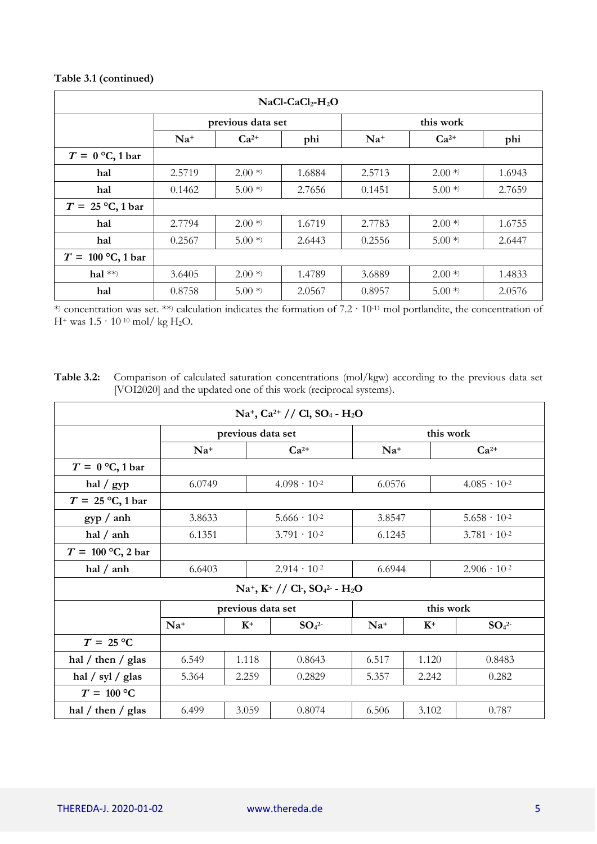#### **[Table 3.1](#page-3-0) (continued)**

| $NaCl-CaCl2-H2O$    |        |                   |        |           |           |        |  |
|---------------------|--------|-------------------|--------|-----------|-----------|--------|--|
|                     |        | previous data set |        | this work |           |        |  |
|                     | $Na+$  | $Ca^{2+}$         | phi    | $Na+$     | $Ca^{2+}$ | phi    |  |
| $T = 0$ °C, 1 bar   |        |                   |        |           |           |        |  |
| hal                 | 2.5719 | $2.00*$           | 1.6884 | 2.5713    | $2.00*$   | 1.6943 |  |
| hal                 | 0.1462 | $5.00*$           | 2.7656 | 0.1451    | $5.00*$   | 2.7659 |  |
| $T = 25$ °C, 1 bar  |        |                   |        |           |           |        |  |
| hal                 | 2.7794 | $2.00*$           | 1.6719 | 2.7783    | $2.00*$   | 1.6755 |  |
| hal                 | 0.2567 | $5.00*$           | 2.6443 | 0.2556    | $5.00*$   | 2.6447 |  |
| $T = 100$ °C, 1 bar |        |                   |        |           |           |        |  |
| hal $**$            | 3.6405 | $2.00*$           | 1.4789 | 3.6889    | $2.00*$   | 1.4833 |  |
| hal                 | 0.8758 | $5.00*$           | 2.0567 | 0.8957    | $5.00*$   | 2.0576 |  |

\* ) concentration was set. \*\*) calculation indicates the formation of 7.2 · 10-11 mol portlandite, the concentration of  $H^{+}$  was  $1.5 \cdot 10^{-10}$  mol/ kg H<sub>2</sub>O.

<span id="page-4-0"></span>**Table 3.2:** Comparison of calculated saturation concentrations (mol/kgw) according to the previous data set [VOI2020] and the updated one of this work (reciprocal systems).

| $Na^+$ , Ca <sup>2+</sup> // Cl, SO <sub>4</sub> - H <sub>2</sub> O |        |                   |                                          |           |           |                              |  |  |
|---------------------------------------------------------------------|--------|-------------------|------------------------------------------|-----------|-----------|------------------------------|--|--|
|                                                                     |        | previous data set |                                          |           | this work |                              |  |  |
|                                                                     | $Na+$  |                   | $Ca^{2+}$                                | $Na+$     |           | $Ca^{2+}$                    |  |  |
| $T = 0$ °C, 1 bar                                                   |        |                   |                                          |           |           |                              |  |  |
| hal $\frac{\text{sgp}}{\text{gpp}}$                                 | 6.0749 |                   | $4.098 \cdot 10^{-2}$                    |           | 6.0576    | $4.085 \cdot 10^{-2}$        |  |  |
| $T = 25$ °C, 1 bar                                                  |        |                   |                                          |           |           |                              |  |  |
| gyp / anh                                                           | 3.8633 |                   | $5.666 \cdot 10^{-2}$                    | 3.8547    |           | $5.658 \cdot 10^{-2}$        |  |  |
| hal $/$ anh                                                         | 6.1351 |                   | $3.791 \cdot 10^{-2}$                    |           | 6.1245    | $3.781 \cdot 10^{-2}$        |  |  |
| $T = 100$ °C, 2 bar                                                 |        |                   |                                          |           |           |                              |  |  |
| hal $/$ anh                                                         | 6.6403 |                   | $2.914 \cdot 10^{-2}$                    |           | 6.6944    | $2.906 \cdot 10^{-2}$        |  |  |
|                                                                     |        |                   | $Na^+$ , $K^+$ // Cl · $SO_4^2$ - $H_2O$ |           |           |                              |  |  |
|                                                                     |        | previous data set |                                          | this work |           |                              |  |  |
|                                                                     | $Na+$  | $K^+$             | SO <sub>4</sub> <sup>2</sup>             | $Na+$     | $K^+$     | SO <sub>4</sub> <sup>2</sup> |  |  |
| $T = 25$ °C                                                         |        |                   |                                          |           |           |                              |  |  |
| hal / then / glas                                                   | 6.549  | 1.118             | 0.8643                                   | 6.517     | 1.120     | 0.8483                       |  |  |
| hal $\frac{\sqrt{}}{}}$ syl $\frac{\sqrt{}}{2}$ glas                | 5.364  | 2.259             | 0.2829                                   | 5.357     | 2.242     | 0.282                        |  |  |
| $T = 100$ °C                                                        |        |                   |                                          |           |           |                              |  |  |
| hal / then / glas                                                   | 6.499  | 3.059             | 0.8074                                   | 6.506     | 3.102     | 0.787                        |  |  |